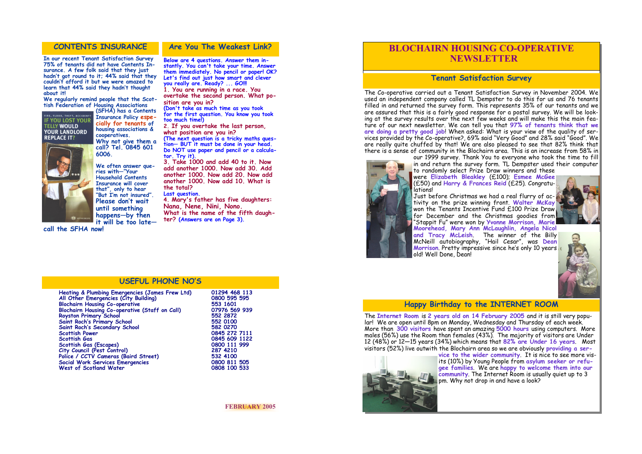#### **CONTENTS INSURANCE Are You The Weakest Link?**

**In our recent Tenant Satisfaction Survey 75% of tenants did not have Contents Insurance. A few folk said that they just hadn't got round to it; 44% said that they couldn't afford it but we were amazed to learn that 44% said they hadn't thought about it!** 

**We regularly remind people that the Scottish Federation of Housing Associations** 

> **(SFHA) has a Contents Insurance Policy especially for tenants of housing associations & cooperatives. Why not give them a call? Tel. 0845 601**

**6006.**



**We often answer queries with—"Your Household Contents Insurance will cover that", only to hear "But I'm not insured". Please don't wait until something happens—by then it will be too late—**

**call the SFHA now!** 

**Heating & Plumbing Emergencies (James Frew Ltd) 01294 468 113 All Other Emergencies (City Building) 0800 595 595 Blochairn Housing Co-operative 553 1601 Blochairn Housing Co-operative (Staff on Call)** 07976 569<br>Royston Primary School 552 2872 **Royston Primary School 552 2872 Saint Roch's Primary School 552 0100 Saint Roch's Secondary School**<br>**Scottish Power Scottish Power 0845 272 7111 Scottish Gas (Escapes) 0800 111**<br> **City Council (Pest Control)** 287 4210 **City Council (Pest Control) 287 4210 Police / CCTV Cameras (Baird Street) 532 4100 Social Work Services Emergencies 1800 811 505**<br> **1808 100 533**<br> **1808 100 533 West of Scotland Water** 

**Below are 4 questions. Answer them instantly. You can't take your time. Answer them immediately. No pencil or paper! OK? Let's find out just how smart and clever you really are. Ready? ... GO!!! 1. You are running in a race. You** 

**overtake the second person. What position are you in?** 

**(Don't take as much time as you took for the first question. You know you took too much time!)** 

The Co-operative carried out a Tenant Satisfaction Survey in November 2004. We used an independent company called TL Dempster to do this for us and 76 tenants filled in and returned the survey form. This represents 35% of our tenants and we are assured that this is a fairly good response for a postal survey. We will be looking at the survey results over the next few weeks and will make this the main feature of our next newsletter. We can tell you that **97% of tenants think that we are doing a pretty good job**! When asked: What is your view of the quality of services provided by the Co-operative?, 69% said "Very Good" and 28% said "Good". We are really quite chuffed by that! We are also pleased to see that 82% think that there is a sense of community in the Blochairn area. This is an increase from 58% in our 1999 survey. Thank You to everyone who took the time to fill in and return the survey form. TL Dempster used their computer



**2. If you overtake the last person, what position are you in? (The next question is a tricky maths question— BUT it must be done in your head.**  Do NOT use paper and pencil or a calcula**tor. Try it).**

**3. Take 1000 and add 40 to it. Now add another 1000. Now add 30. Add another 1000. Now add 20. Now add another 1000. Now add 10. What is the total?**

**Last question.** 

**4. Mary's father has five daughters: Nana, Nene, Nini, Nono. What is the name of the fifth daugh-**

**ter? (Answers are on Page 3).**

**Scottish Gas 0845 609 1122**

#### **USEFUL PHONE NO'S**

**FEBRUARY 2005** 







# **BLOCHAIRN HOUSING CO-OPERATIVE NEWSLETTER**

### **Tenant Satisfaction Survey**

to randomly select Prize Draw winners and these were **Elizabeth Bleakley** (£100); **Esmee McGee**  (£50) and **Harry & Frances Reid** (£25). Congratulations!

Just before Christmas we had a real flurry of activity on the prize winning front. **Walter McKay**  won the Tenants Incentive Fund £100 Prize Draw for December and the Christmas goodies from "Stappit Fu" were won by **Yvonne Morrison, Marie Moorehead, Mary Ann McLaughlin, Angela Nicol and Tracy McLeish**. The winner of the Billy McNeill autobiography, "Hail Cesar", was **Dean Morrison**. Pretty impressive since he's only 10 years old! Well Done, Dean!

## **Happy Birthday to the INTERNET ROOM**

The **Internet Room** is **2 years old on 14 February 2005** and it is still very popular! We are open until 8pm on Monday, Wednesday and Thursday of each week. More than **300 visitors** have spent an amazing **5000 hours** using computers. More males (56%) use the Room than females (43%). The majority of visitors are Under 12 (48%) or 12—15 years (34%) which means that **82% are Under 16 years**. Most visitors (52%) live outwith the Blochairn area so we are obviously **providing a service to the wider community**. It is nice to see more visits (10%) by Young People from **asylum seeker or refugee families**. We are **happy to welcome them into our community**. The Internet Room is usually quiet up to 3 pm. Why not drop in and have a look?